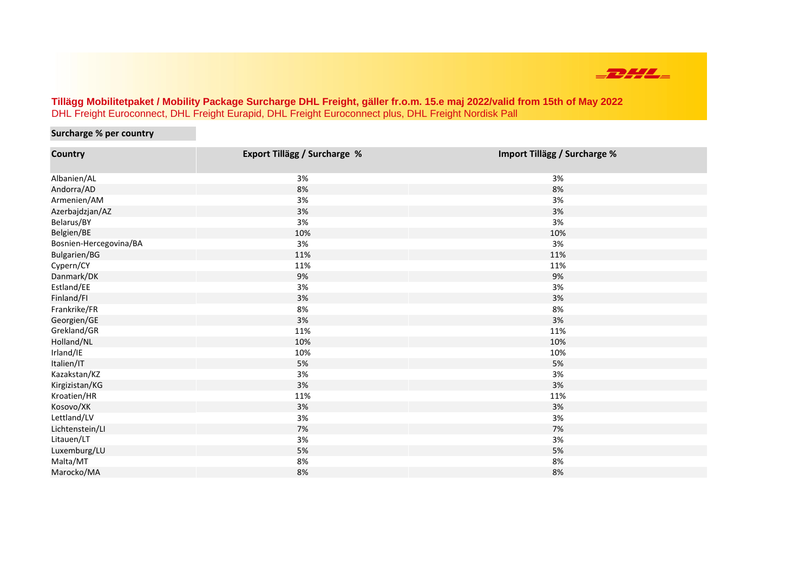

## **Tillägg Mobilitetpaket / Mobility Package Surcharge DHL Freight, gäller fr.o.m. 15.e maj 2022/valid from 15th of May 2022**  DHL Freight Euroconnect, DHL Freight Eurapid, DHL Freight Euroconnect plus, DHL Freight Nordisk Pall

## **Surcharge % per country**

| Country                | <b>Export Tillägg / Surcharge %</b> | Import Tillägg / Surcharge % |
|------------------------|-------------------------------------|------------------------------|
| Albanien/AL            | 3%                                  | 3%                           |
| Andorra/AD             | 8%                                  | 8%                           |
| Armenien/AM            | 3%                                  | 3%                           |
| Azerbajdzjan/AZ        | 3%                                  | 3%                           |
| Belarus/BY             | 3%                                  | 3%                           |
| Belgien/BE             | 10%                                 | 10%                          |
| Bosnien-Hercegovina/BA | 3%                                  | 3%                           |
| Bulgarien/BG           | 11%                                 | 11%                          |
| Cypern/CY              | 11%                                 | 11%                          |
| Danmark/DK             | 9%                                  | 9%                           |
| Estland/EE             | 3%                                  | 3%                           |
| Finland/Fl             | 3%                                  | 3%                           |
| Frankrike/FR           | 8%                                  | 8%                           |
| Georgien/GE            | 3%                                  | 3%                           |
| Grekland/GR            | 11%                                 | 11%                          |
| Holland/NL             | 10%                                 | 10%                          |
| Irland/IE              | 10%                                 | 10%                          |
| Italien/IT             | 5%                                  | 5%                           |
| Kazakstan/KZ           | 3%                                  | 3%                           |
| Kirgizistan/KG         | 3%                                  | 3%                           |
| Kroatien/HR            | 11%                                 | 11%                          |
| Kosovo/XK              | 3%                                  | 3%                           |
| Lettland/LV            | 3%                                  | 3%                           |
| Lichtenstein/LI        | 7%                                  | 7%                           |
| Litauen/LT             | 3%                                  | 3%                           |
| Luxemburg/LU           | 5%                                  | 5%                           |
| Malta/MT               | 8%                                  | 8%                           |
| Marocko/MA             | 8%                                  | 8%                           |